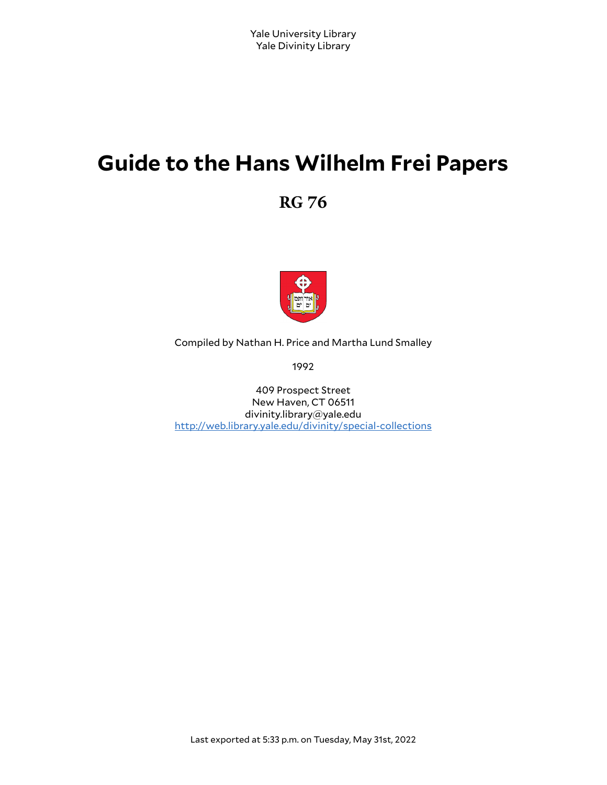# **Guide to the Hans Wilhelm Frei Papers**

**RG 76**



Compiled by Nathan H. Price and Martha Lund Smalley

1992

409 Prospect Street New Haven, CT 06511 divinity.library@yale.edu <http://web.library.yale.edu/divinity/special-collections>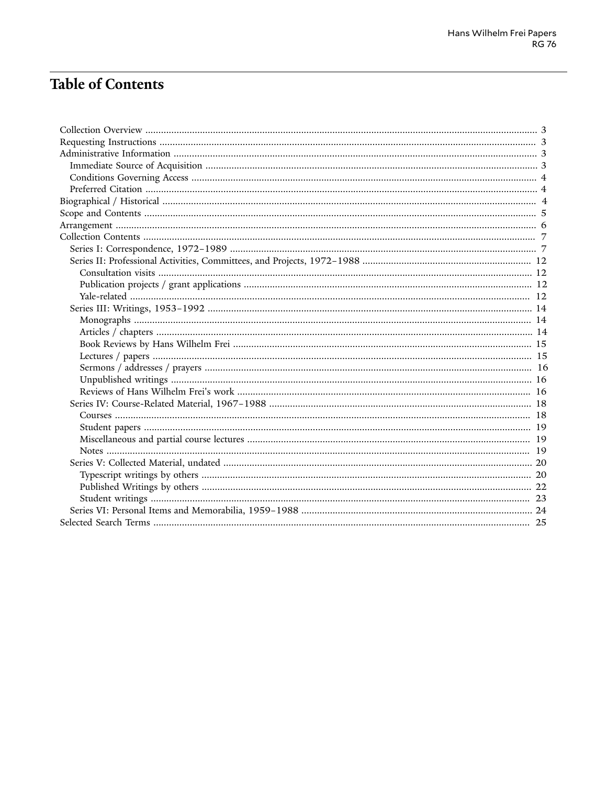# **Table of Contents**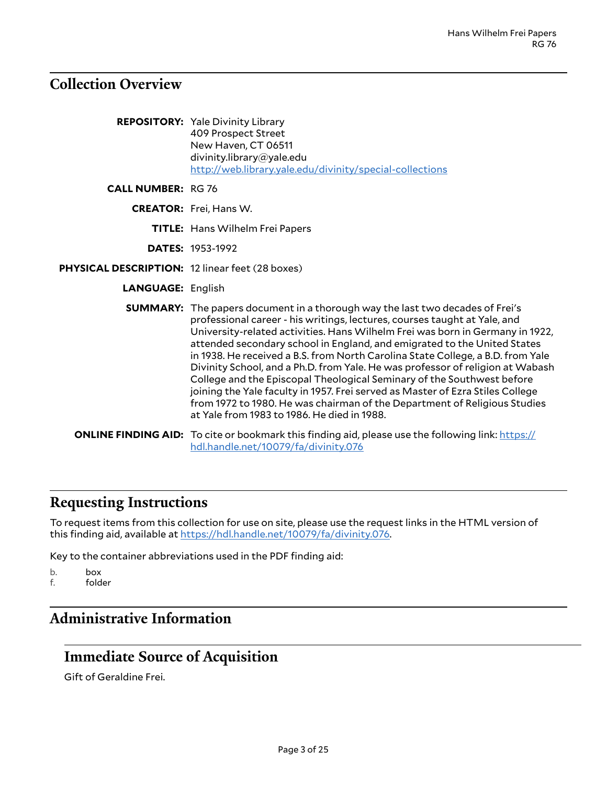# <span id="page-2-0"></span>**Collection Overview**

|                                                 | <b>REPOSITORY:</b> Yale Divinity Library<br>409 Prospect Street<br>New Haven, CT 06511<br>divinity.library@yale.edu<br>http://web.library.yale.edu/divinity/special-collections                                                                                                                                                                                                                                                                                                                                                                                                                                                                                                                                                                                                             |
|-------------------------------------------------|---------------------------------------------------------------------------------------------------------------------------------------------------------------------------------------------------------------------------------------------------------------------------------------------------------------------------------------------------------------------------------------------------------------------------------------------------------------------------------------------------------------------------------------------------------------------------------------------------------------------------------------------------------------------------------------------------------------------------------------------------------------------------------------------|
| <b>CALL NUMBER: RG 76</b>                       |                                                                                                                                                                                                                                                                                                                                                                                                                                                                                                                                                                                                                                                                                                                                                                                             |
|                                                 | <b>CREATOR:</b> Frei, Hans W.                                                                                                                                                                                                                                                                                                                                                                                                                                                                                                                                                                                                                                                                                                                                                               |
|                                                 | <b>TITLE:</b> Hans Wilhelm Frei Papers                                                                                                                                                                                                                                                                                                                                                                                                                                                                                                                                                                                                                                                                                                                                                      |
|                                                 | <b>DATES: 1953-1992</b>                                                                                                                                                                                                                                                                                                                                                                                                                                                                                                                                                                                                                                                                                                                                                                     |
| PHYSICAL DESCRIPTION: 12 linear feet (28 boxes) |                                                                                                                                                                                                                                                                                                                                                                                                                                                                                                                                                                                                                                                                                                                                                                                             |
| <b>LANGUAGE: English</b>                        |                                                                                                                                                                                                                                                                                                                                                                                                                                                                                                                                                                                                                                                                                                                                                                                             |
|                                                 | <b>SUMMARY:</b> The papers document in a thorough way the last two decades of Frei's<br>professional career - his writings, lectures, courses taught at Yale, and<br>University-related activities. Hans Wilhelm Frei was born in Germany in 1922,<br>attended secondary school in England, and emigrated to the United States<br>in 1938. He received a B.S. from North Carolina State College, a B.D. from Yale<br>Divinity School, and a Ph.D. from Yale. He was professor of religion at Wabash<br>College and the Episcopal Theological Seminary of the Southwest before<br>joining the Yale faculty in 1957. Frei served as Master of Ezra Stiles College<br>from 1972 to 1980. He was chairman of the Department of Religious Studies<br>at Yale from 1983 to 1986. He died in 1988. |
|                                                 | <b>ONLINE FINDING AID:</b> To cite or bookmark this finding aid, please use the following link: https://<br>hdl.handle.net/10079/fa/divinity.076                                                                                                                                                                                                                                                                                                                                                                                                                                                                                                                                                                                                                                            |

## <span id="page-2-1"></span>**Requesting Instructions**

To request items from this collection for use on site, please use the request links in the HTML version of this finding aid, available at <https://hdl.handle.net/10079/fa/divinity.076>.

Key to the container abbreviations used in the PDF finding aid:

b. box<br>f. fold

folder

# <span id="page-2-2"></span>**Administrative Information**

# <span id="page-2-3"></span>**Immediate Source of Acquisition**

Gift of Geraldine Frei.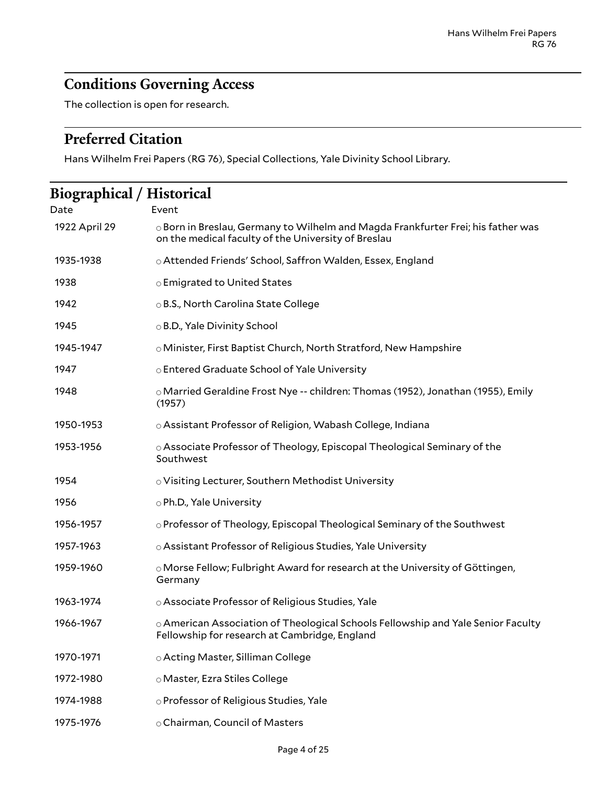# <span id="page-3-0"></span>**Conditions Governing Access**

The collection is open for research.

# <span id="page-3-1"></span>**Preferred Citation**

Hans Wilhelm Frei Papers (RG 76), Special Collections, Yale Divinity School Library.

<span id="page-3-2"></span>

| Biographical / Historical |                                                                                                                                               |  |  |
|---------------------------|-----------------------------------------------------------------------------------------------------------------------------------------------|--|--|
| Date                      | Event                                                                                                                                         |  |  |
| 1922 April 29             | $\circ$ Born in Breslau, Germany to Wilhelm and Magda Frankfurter Frei; his father was<br>on the medical faculty of the University of Breslau |  |  |
| 1935-1938                 | o Attended Friends' School, Saffron Walden, Essex, England                                                                                    |  |  |
| 1938                      | ○ Emigrated to United States                                                                                                                  |  |  |
| 1942                      | ○ B.S., North Carolina State College                                                                                                          |  |  |
| 1945                      | ⊙ B.D., Yale Divinity School                                                                                                                  |  |  |
| 1945-1947                 | o Minister, First Baptist Church, North Stratford, New Hampshire                                                                              |  |  |
| 1947                      | o Entered Graduate School of Yale University                                                                                                  |  |  |
| 1948                      | ○ Married Geraldine Frost Nye -- children: Thomas (1952), Jonathan (1955), Emily<br>(1957)                                                    |  |  |
| 1950-1953                 | o Assistant Professor of Religion, Wabash College, Indiana                                                                                    |  |  |
| 1953-1956                 | o Associate Professor of Theology, Episcopal Theological Seminary of the<br>Southwest                                                         |  |  |
| 1954                      | o Visiting Lecturer, Southern Methodist University                                                                                            |  |  |
| 1956                      | o Ph.D., Yale University                                                                                                                      |  |  |
| 1956-1957                 | o Professor of Theology, Episcopal Theological Seminary of the Southwest                                                                      |  |  |
| 1957-1963                 | o Assistant Professor of Religious Studies, Yale University                                                                                   |  |  |
| 1959-1960                 | ○ Morse Fellow; Fulbright Award for research at the University of Göttingen,<br>Germany                                                       |  |  |
| 1963-1974                 | o Associate Professor of Religious Studies, Yale                                                                                              |  |  |
| 1966-1967                 | $\circ$ American Association of Theological Schools Fellowship and Yale Senior Faculty<br>Fellowship for research at Cambridge, England       |  |  |
| 1970-1971                 | o Acting Master, Silliman College                                                                                                             |  |  |
| 1972-1980                 | o Master, Ezra Stiles College                                                                                                                 |  |  |
| 1974-1988                 | o Professor of Religious Studies, Yale                                                                                                        |  |  |
| 1975-1976                 | o Chairman, Council of Masters                                                                                                                |  |  |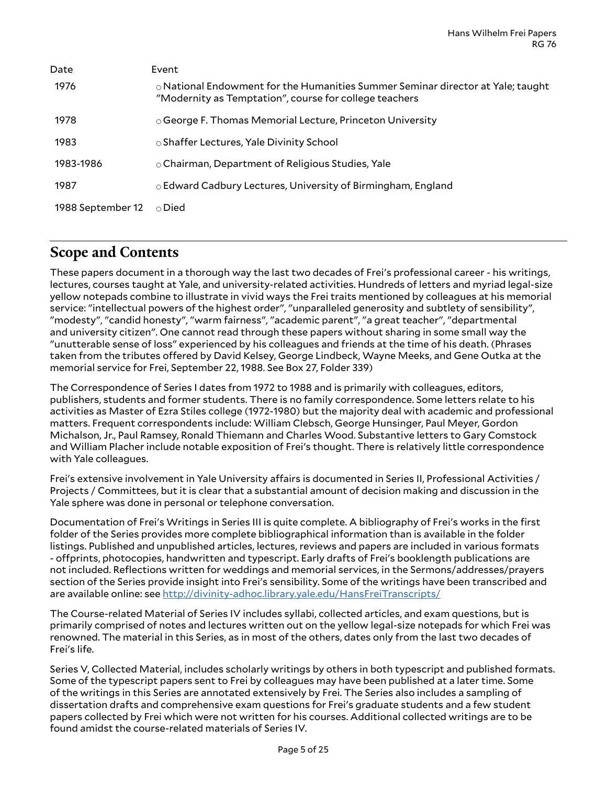| Date              | Event                                                                                                                                           |
|-------------------|-------------------------------------------------------------------------------------------------------------------------------------------------|
| 1976              | $\circ$ National Endowment for the Humanities Summer Seminar director at Yale; taught<br>"Modernity as Temptation", course for college teachers |
| 1978              | ○ George F. Thomas Memorial Lecture, Princeton University                                                                                       |
| 1983              | ⊙ Shaffer Lectures, Yale Divinity School                                                                                                        |
| 1983-1986         | $\circ$ Chairman, Department of Religious Studies, Yale                                                                                         |
| 1987              | ○ Edward Cadbury Lectures, University of Birmingham, England                                                                                    |
| 1988 September 12 | ∩ Died                                                                                                                                          |

# <span id="page-4-0"></span>**Scope and Contents**

These papers document in a thorough way the last two decades of Frei's professional career - his writings, lectures, courses taught at Yale, and university-related activities. Hundreds of letters and myriad legal-size yellow notepads combine to illustrate in vivid ways the Frei traits mentioned by colleagues at his memorial service: "intellectual powers of the highest order", "unparalleled generosity and subtlety of sensibility", "modesty", "candid honesty", "warm fairness", "academic parent", "a great teacher", "departmental and university citizen". One cannot read through these papers without sharing in some small way the "unutterable sense of loss" experienced by his colleagues and friends at the time of his death. (Phrases taken from the tributes offered by David Kelsey, George Lindbeck, Wayne Meeks, and Gene Outka at the memorial service for Frei, September 22, 1988. See Box 27, Folder 339)

The Correspondence of Series I dates from 1972 to 1988 and is primarily with colleagues, editors, publishers, students and former students. There is no family correspondence. Some letters relate to his activities as Master of Ezra Stiles college (1972-1980) but the majority deal with academic and professional matters. Frequent correspondents include: William Clebsch, George Hunsinger, Paul Meyer, Gordon Michalson, Jr., Paul Ramsey, Ronald Thiemann and Charles Wood. Substantive letters to Gary Comstock and William Placher include notable exposition of Frei's thought. There is relatively little correspondence with Yale colleagues.

Frei's extensive involvement in Yale University affairs is documented in Series II, Professional Activities / Projects / Committees, but it is clear that a substantial amount of decision making and discussion in the Yale sphere was done in personal or telephone conversation.

Documentation of Frei's Writings in Series III is quite complete. A bibliography of Frei's works in the first folder of the Series provides more complete bibliographical information than is available in the folder listings. Published and unpublished articles, lectures, reviews and papers are included in various formats - offprints, photocopies, handwritten and typescript. Early drafts of Frei's booklength publications are not included. Reflections written for weddings and memorial services, in the Sermons/addresses/prayers section of the Series provide insight into Frei's sensibility. Some of the writings have been transcribed and are available online: see <http://divinity-adhoc.library.yale.edu/HansFreiTranscripts/>

The Course-related Material of Series IV includes syllabi, collected articles, and exam questions, but is primarily comprised of notes and lectures written out on the yellow legal-size notepads for which Frei was renowned. The material in this Series, as in most of the others, dates only from the last two decades of Frei's life.

Series V, Collected Material, includes scholarly writings by others in both typescript and published formats. Some of the typescript papers sent to Frei by colleagues may have been published at a later time. Some of the writings in this Series are annotated extensively by Frei. The Series also includes a sampling of dissertation drafts and comprehensive exam questions for Frei's graduate students and a few student papers collected by Frei which were not written for his courses. Additional collected writings are to be found amidst the course-related materials of Series IV.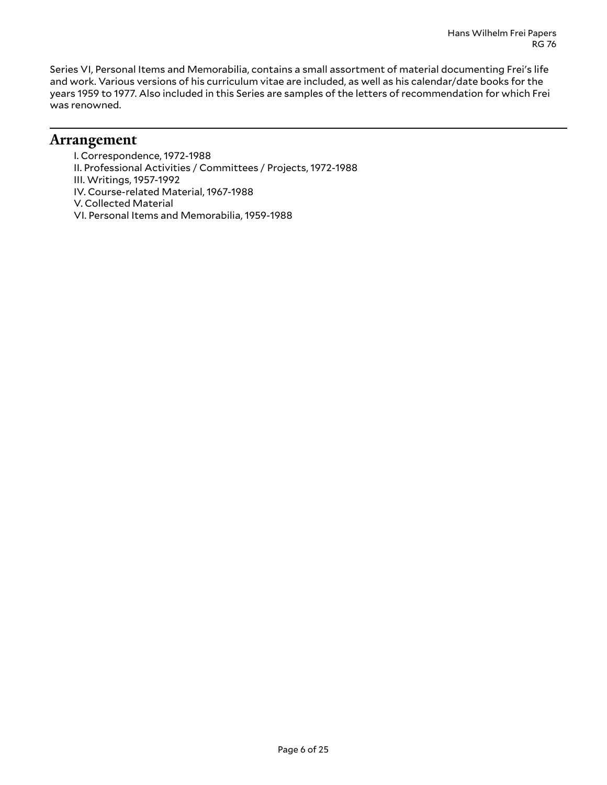Series VI, Personal Items and Memorabilia, contains a small assortment of material documenting Frei's life and work. Various versions of his curriculum vitae are included, as well as his calendar/date books for the years 1959 to 1977. Also included in this Series are samples of the letters of recommendation for which Frei was renowned.

### <span id="page-5-0"></span>**Arrangement**

I. Correspondence, 1972-1988 II. Professional Activities / Committees / Projects, 1972-1988 III. Writings, 1957-1992 IV. Course-related Material, 1967-1988 V. Collected Material VI. Personal Items and Memorabilia, 1959-1988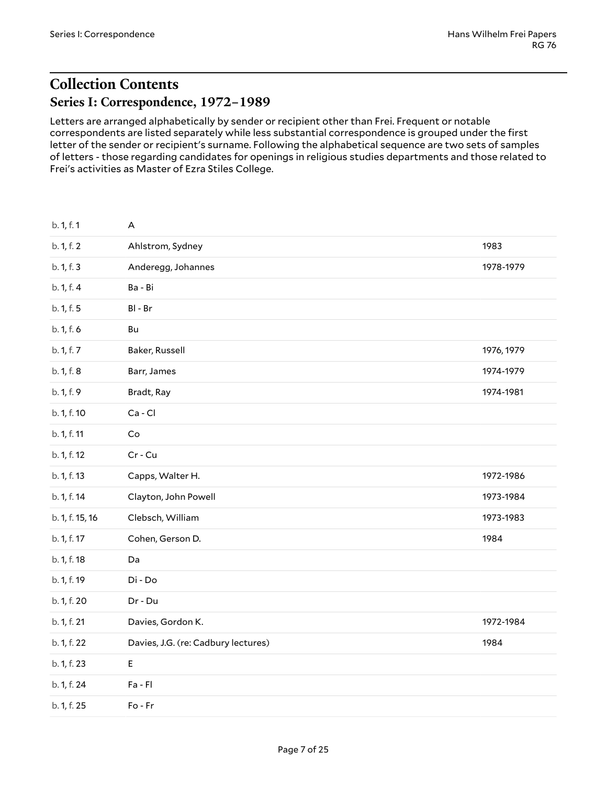# <span id="page-6-1"></span><span id="page-6-0"></span>**Collection Contents Series I: Correspondence, 1972–1989**

Letters are arranged alphabetically by sender or recipient other than Frei. Frequent or notable correspondents are listed separately while less substantial correspondence is grouped under the first letter of the sender or recipient's surname. Following the alphabetical sequence are two sets of samples of letters - those regarding candidates for openings in religious studies departments and those related to Frei's activities as Master of Ezra Stiles College.

| b. 1, f. 1      | A                                   |            |
|-----------------|-------------------------------------|------------|
| b. 1, f. 2      | Ahlstrom, Sydney                    | 1983       |
| b. 1, f. 3      | Anderegg, Johannes                  | 1978-1979  |
| b. 1, f. 4      | Ba - Bi                             |            |
| b. 1, f. 5      | $BI - Br$                           |            |
| b. 1, f. 6      | Bu                                  |            |
| b. 1, f. 7      | Baker, Russell                      | 1976, 1979 |
| b. 1, f. 8      | Barr, James                         | 1974-1979  |
| b. 1, f. 9      | Bradt, Ray                          | 1974-1981  |
| b. 1, f. 10     | Ca-Cl                               |            |
| b. 1, f. 11     | Co                                  |            |
| b. 1, f. 12     | Cr - Cu                             |            |
| b. 1, f. 13     | Capps, Walter H.                    | 1972-1986  |
| b. 1, f. 14     | Clayton, John Powell                | 1973-1984  |
| b. 1, f. 15, 16 | Clebsch, William                    | 1973-1983  |
| b. 1, f. 17     | Cohen, Gerson D.                    | 1984       |
| b. 1, f. 18     | Da                                  |            |
| b. 1, f. 19     | Di - Do                             |            |
| b. 1, f. 20     | $Dr - Du$                           |            |
| b. 1, f. 21     | Davies, Gordon K.                   | 1972-1984  |
| b. 1, f. 22     | Davies, J.G. (re: Cadbury lectures) | 1984       |
| b. 1, f. 23     | E                                   |            |
| b. 1, f. 24     | $Fa$ - $Fl$                         |            |
| b. 1, f. 25     | Fo-Fr                               |            |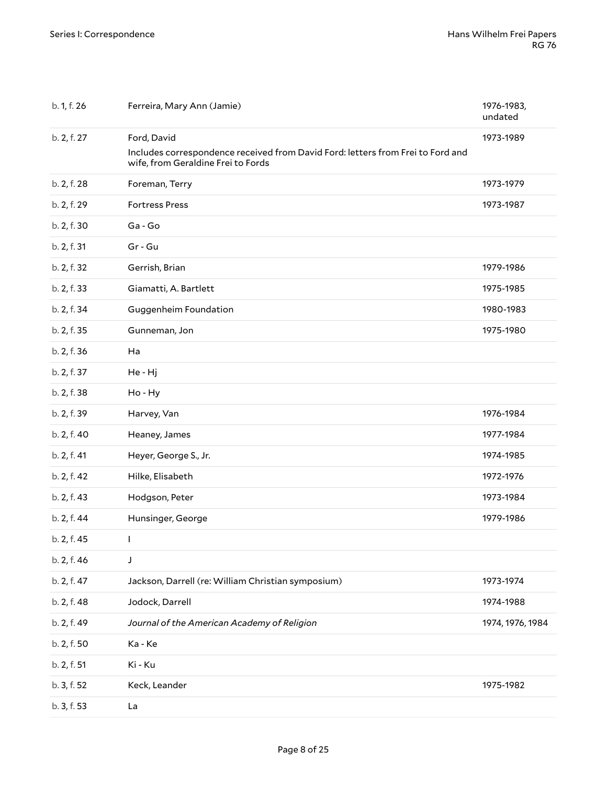| b. 1, f. 26 | Ferreira, Mary Ann (Jamie)                                                                                            | 1976-1983,<br>undated |
|-------------|-----------------------------------------------------------------------------------------------------------------------|-----------------------|
| b. 2, f. 27 | Ford, David                                                                                                           | 1973-1989             |
|             | Includes correspondence received from David Ford: letters from Frei to Ford and<br>wife, from Geraldine Frei to Fords |                       |
| b. 2, f. 28 | Foreman, Terry                                                                                                        | 1973-1979             |
| b. 2, f. 29 | <b>Fortress Press</b>                                                                                                 | 1973-1987             |
| b. 2, f. 30 | Ga-Go                                                                                                                 |                       |
| b. 2, f. 31 | Gr - Gu                                                                                                               |                       |
| b. 2, f. 32 | Gerrish, Brian                                                                                                        | 1979-1986             |
| b. 2, f. 33 | Giamatti, A. Bartlett                                                                                                 | 1975-1985             |
| b. 2, f. 34 | Guggenheim Foundation                                                                                                 | 1980-1983             |
| b. 2, f. 35 | Gunneman, Jon                                                                                                         | 1975-1980             |
| b. 2, f. 36 | Ha                                                                                                                    |                       |
| b. 2, f. 37 | He - Hj                                                                                                               |                       |
| b. 2, f. 38 | Ho - Hy                                                                                                               |                       |
| b. 2, f. 39 | Harvey, Van                                                                                                           | 1976-1984             |
| b. 2, f. 40 | Heaney, James                                                                                                         | 1977-1984             |
| b. 2, f. 41 | Heyer, George S., Jr.                                                                                                 | 1974-1985             |
| b. 2, f. 42 | Hilke, Elisabeth                                                                                                      | 1972-1976             |
| b. 2, f. 43 | Hodgson, Peter                                                                                                        | 1973-1984             |
| b. 2, f. 44 | Hunsinger, George                                                                                                     | 1979-1986             |
| b. 2, f. 45 | L                                                                                                                     |                       |
| b. 2, f. 46 | J                                                                                                                     |                       |
| b. 2, f. 47 | Jackson, Darrell (re: William Christian symposium)                                                                    | 1973-1974             |
| b. 2, f. 48 | Jodock, Darrell                                                                                                       | 1974-1988             |
| b. 2, f. 49 | Journal of the American Academy of Religion                                                                           | 1974, 1976, 1984      |
| b. 2, f. 50 | Ka - Ke                                                                                                               |                       |
| b. 2, f. 51 | Ki - Ku                                                                                                               |                       |
| b. 3, f. 52 | Keck, Leander                                                                                                         | 1975-1982             |
| b. 3, f. 53 | La                                                                                                                    |                       |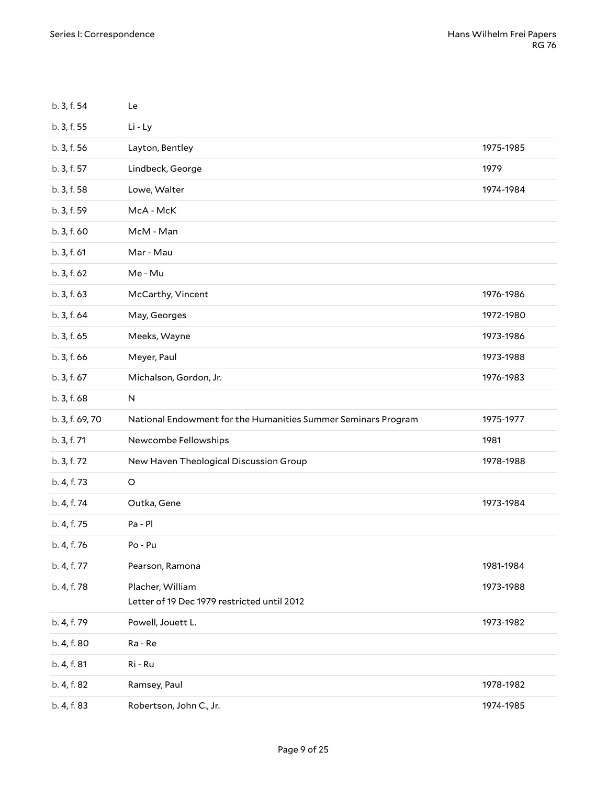| 1975-1985 |
|-----------|
| 1979      |
| 1974-1984 |
|           |
|           |
|           |
|           |
| 1976-1986 |
| 1972-1980 |
| 1973-1986 |
| 1973-1988 |
| 1976-1983 |
|           |
|           |
| 1975-1977 |
| 1981      |
| 1978-1988 |
|           |
| 1973-1984 |
|           |
|           |
| 1981-1984 |
| 1973-1988 |
| 1973-1982 |
|           |
|           |
| 1978-1982 |
|           |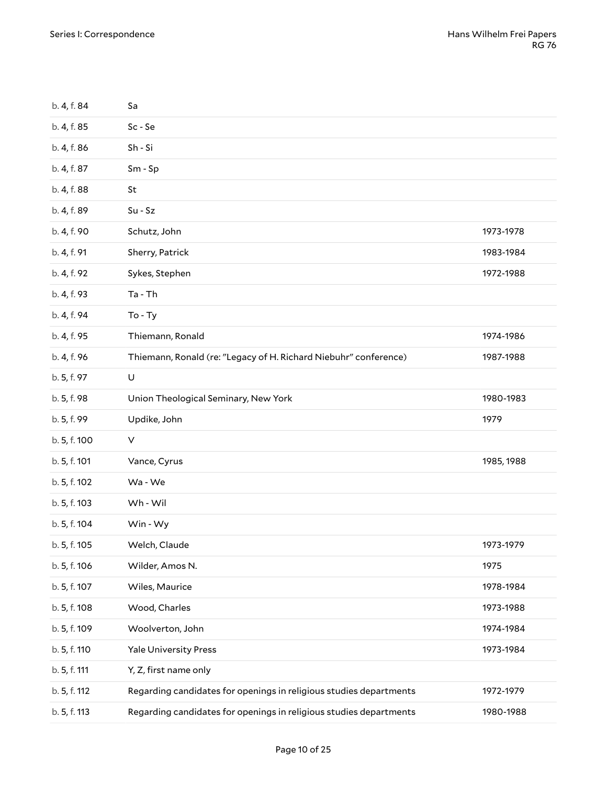| b. 4, f. 84  | Sa                                                                 |            |
|--------------|--------------------------------------------------------------------|------------|
| b. 4, f. 85  | Sc-Se                                                              |            |
| b. 4, f. 86  | Sh - Si                                                            |            |
| b. 4, f. 87  | Sm - Sp                                                            |            |
| b. 4, f. 88  | St                                                                 |            |
| b. 4, f. 89  | $Su - Sz$                                                          |            |
| b. 4, f. 90  | Schutz, John                                                       | 1973-1978  |
| b. 4, f. 91  | Sherry, Patrick                                                    | 1983-1984  |
| b. 4, f. 92  | Sykes, Stephen                                                     | 1972-1988  |
| b. 4, f. 93  | Ta - Th                                                            |            |
| b. 4, f. 94  | $To - Ty$                                                          |            |
| b. 4, f. 95  | Thiemann, Ronald                                                   | 1974-1986  |
| b. 4, f. 96  | Thiemann, Ronald (re: "Legacy of H. Richard Niebuhr" conference)   | 1987-1988  |
| b. 5, f. 97  | U                                                                  |            |
| b. 5, f. 98  | Union Theological Seminary, New York                               | 1980-1983  |
|              |                                                                    |            |
| b. 5, f. 99  | Updike, John                                                       | 1979       |
| b. 5, f. 100 | V                                                                  |            |
| b. 5, f. 101 | Vance, Cyrus                                                       | 1985, 1988 |
| b. 5, f. 102 | Wa - We                                                            |            |
| b. 5, f. 103 | Wh - Wil                                                           |            |
| b. 5, f. 104 | Win - Wy                                                           |            |
| b. 5, f. 105 | Welch, Claude                                                      | 1973-1979  |
| b. 5, f. 106 | Wilder, Amos N.                                                    | 1975       |
| b. 5, f. 107 | Wiles, Maurice                                                     | 1978-1984  |
| b. 5, f. 108 | Wood, Charles                                                      | 1973-1988  |
| b. 5, f. 109 | Woolverton, John                                                   | 1974-1984  |
| b. 5, f. 110 | <b>Yale University Press</b>                                       | 1973-1984  |
| b. 5, f. 111 | Y, Z, first name only                                              |            |
| b. 5, f. 112 | Regarding candidates for openings in religious studies departments | 1972-1979  |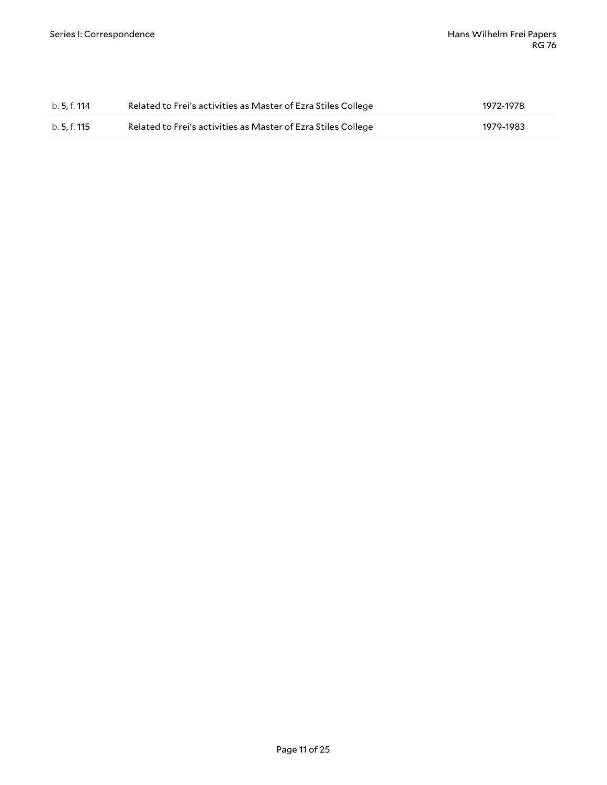| b. 5, f. 114 | Related to Frei's activities as Master of Ezra Stiles College | 1972-1978 |
|--------------|---------------------------------------------------------------|-----------|
| b. 5, f. 115 | Related to Frei's activities as Master of Ezra Stiles College | 1979-1983 |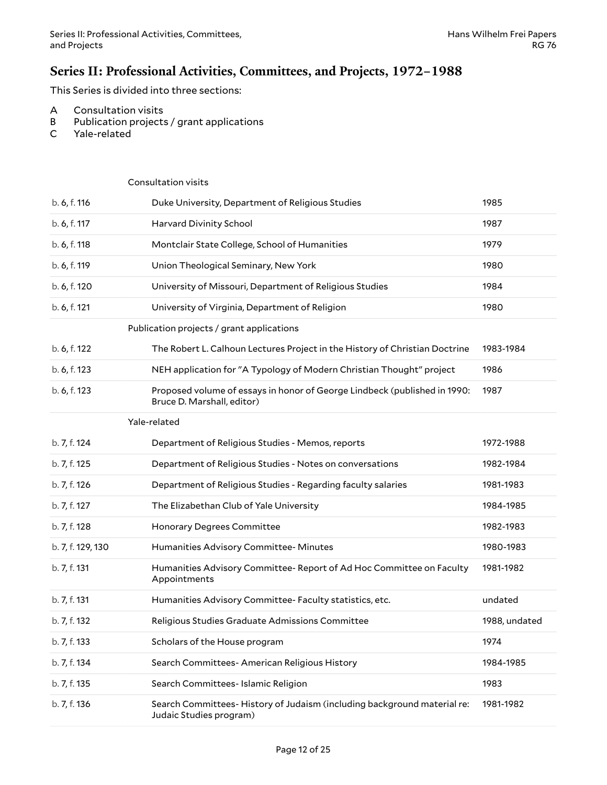### <span id="page-11-0"></span>**Series II: Professional Activities, Committees, and Projects, 1972–1988**

This Series is divided into three sections:

- A Consultation visits
- B Publication projects / grant applications
- C Yale-related

<span id="page-11-3"></span><span id="page-11-2"></span><span id="page-11-1"></span>

|                   | Consultation visits                                                                                     |               |
|-------------------|---------------------------------------------------------------------------------------------------------|---------------|
| b. 6, f. 116      | Duke University, Department of Religious Studies                                                        | 1985          |
| b. 6, f. 117      | Harvard Divinity School                                                                                 | 1987          |
| b. 6, f. 118      | Montclair State College, School of Humanities                                                           | 1979          |
| b. 6, f. 119      | Union Theological Seminary, New York                                                                    | 1980          |
| b. 6, f. 120      | University of Missouri, Department of Religious Studies                                                 | 1984          |
| b. 6, f. 121      | University of Virginia, Department of Religion                                                          | 1980          |
|                   | Publication projects / grant applications                                                               |               |
| b. 6, f. 122      | The Robert L. Calhoun Lectures Project in the History of Christian Doctrine                             | 1983-1984     |
| b. 6, f. 123      | NEH application for "A Typology of Modern Christian Thought" project                                    | 1986          |
| b. 6, f. 123      | Proposed volume of essays in honor of George Lindbeck (published in 1990:<br>Bruce D. Marshall, editor) | 1987          |
|                   | Yale-related                                                                                            |               |
| b. 7, f. 124      | Department of Religious Studies - Memos, reports                                                        | 1972-1988     |
| b. 7, f. 125      | Department of Religious Studies - Notes on conversations                                                | 1982-1984     |
| b. 7, f. 126      | Department of Religious Studies - Regarding faculty salaries                                            | 1981-1983     |
| b. 7, f. 127      | The Elizabethan Club of Yale University                                                                 | 1984-1985     |
| b. 7, f. 128      | Honorary Degrees Committee                                                                              | 1982-1983     |
| b. 7, f. 129, 130 | Humanities Advisory Committee- Minutes                                                                  | 1980-1983     |
| b. 7, f. 131      | Humanities Advisory Committee- Report of Ad Hoc Committee on Faculty<br>Appointments                    | 1981-1982     |
| b. 7, f. 131      | Humanities Advisory Committee- Faculty statistics, etc.                                                 | undated       |
| b. 7, f. 132      | Religious Studies Graduate Admissions Committee                                                         | 1988, undated |
| b. 7, f. 133      | Scholars of the House program                                                                           | 1974          |
| b. 7, f. 134      | Search Committees- American Religious History                                                           | 1984-1985     |
| b. 7, f. 135      | Search Committees- Islamic Religion                                                                     | 1983          |
| b. 7, f. 136      | Search Committees-History of Judaism (including background material re:<br>Judaic Studies program)      | 1981-1982     |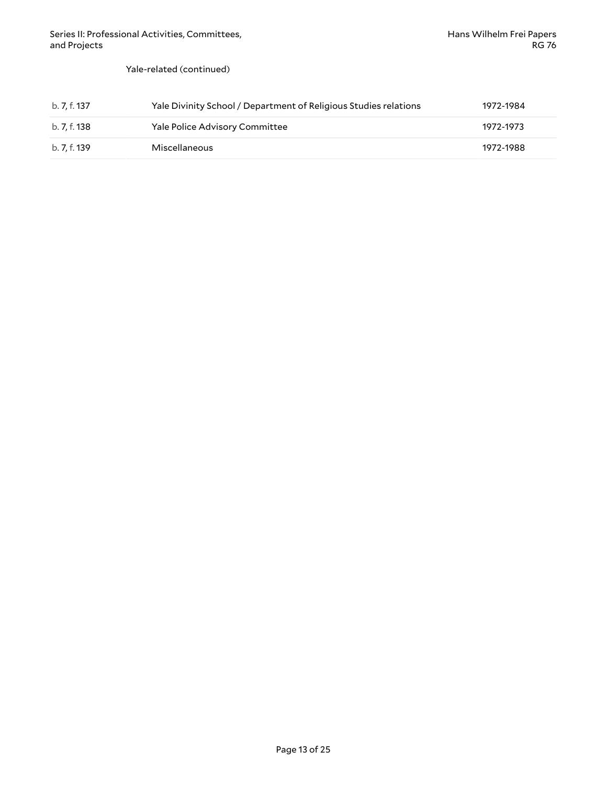Yale-related (continued)

| b. 7. f. 137 | Yale Divinity School / Department of Religious Studies relations | 1972-1984 |
|--------------|------------------------------------------------------------------|-----------|
| b. 7, f. 138 | <b>Yale Police Advisory Committee</b>                            | 1972-1973 |
| b. 7. f. 139 | Miscellaneous                                                    | 1972-1988 |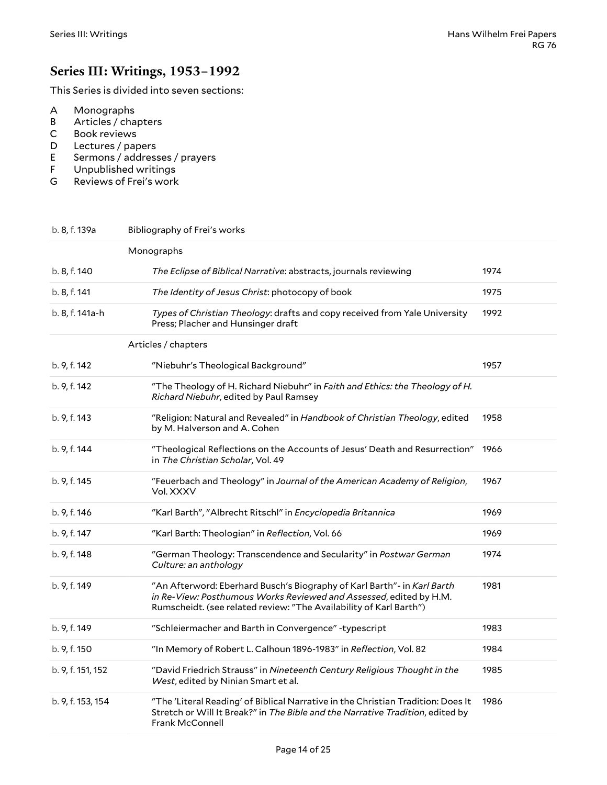### <span id="page-13-0"></span>**Series III: Writings, 1953–1992**

This Series is divided into seven sections:

- A Monographs
- B Articles / chapters
- C Book reviews
- D Lectures / papers
- E Sermons / addresses / prayers
- F Unpublished writings
- G Reviews of Frei's work

<span id="page-13-2"></span><span id="page-13-1"></span>

| b. 8, f. 139a     | Bibliography of Frei's works                                                                                                                                                                                        |      |
|-------------------|---------------------------------------------------------------------------------------------------------------------------------------------------------------------------------------------------------------------|------|
|                   | Monographs                                                                                                                                                                                                          |      |
| b. 8, f. 140      | The Eclipse of Biblical Narrative: abstracts, journals reviewing                                                                                                                                                    | 1974 |
| b. 8, f. 141      | The Identity of Jesus Christ: photocopy of book                                                                                                                                                                     | 1975 |
| b. 8, f. 141a-h   | Types of Christian Theology: drafts and copy received from Yale University<br>Press; Placher and Hunsinger draft                                                                                                    | 1992 |
|                   | Articles / chapters                                                                                                                                                                                                 |      |
| b. 9, f. 142      | "Niebuhr's Theological Background"                                                                                                                                                                                  | 1957 |
| b. 9, f. 142      | "The Theology of H. Richard Niebuhr" in Faith and Ethics: the Theology of H.<br>Richard Niebuhr, edited by Paul Ramsey                                                                                              |      |
| b. 9, f. 143      | "Religion: Natural and Revealed" in Handbook of Christian Theology, edited<br>by M. Halverson and A. Cohen                                                                                                          | 1958 |
| b. 9, f. 144      | "Theological Reflections on the Accounts of Jesus' Death and Resurrection"<br>in The Christian Scholar, Vol. 49                                                                                                     | 1966 |
| b. 9, f. 145      | "Feuerbach and Theology" in Journal of the American Academy of Religion,<br>Vol. XXXV                                                                                                                               | 1967 |
| b. 9, f. 146      | "Karl Barth", "Albrecht Ritschl" in Encyclopedia Britannica                                                                                                                                                         | 1969 |
| b. 9, f. 147      | "Karl Barth: Theologian" in Reflection, Vol. 66                                                                                                                                                                     | 1969 |
| b. 9, f. 148      | "German Theology: Transcendence and Secularity" in Postwar German<br>Culture: an anthology                                                                                                                          | 1974 |
| b. 9, f. 149      | "An Afterword: Eberhard Busch's Biography of Karl Barth"- in Karl Barth<br>in Re-View: Posthumous Works Reviewed and Assessed, edited by H.M.<br>Rumscheidt. (see related review: "The Availability of Karl Barth") | 1981 |
| b. 9, f. 149      | "Schleiermacher and Barth in Convergence" - typescript                                                                                                                                                              | 1983 |
| b. 9, f. 150      | "In Memory of Robert L. Calhoun 1896-1983" in Reflection, Vol. 82                                                                                                                                                   | 1984 |
| b. 9, f. 151, 152 | "David Friedrich Strauss" in Nineteenth Century Religious Thought in the<br>West, edited by Ninian Smart et al.                                                                                                     | 1985 |
| b. 9, f. 153, 154 | "The 'Literal Reading' of Biblical Narrative in the Christian Tradition: Does It<br>Stretch or Will It Break?" in The Bible and the Narrative Tradition, edited by<br><b>Frank McConnell</b>                        | 1986 |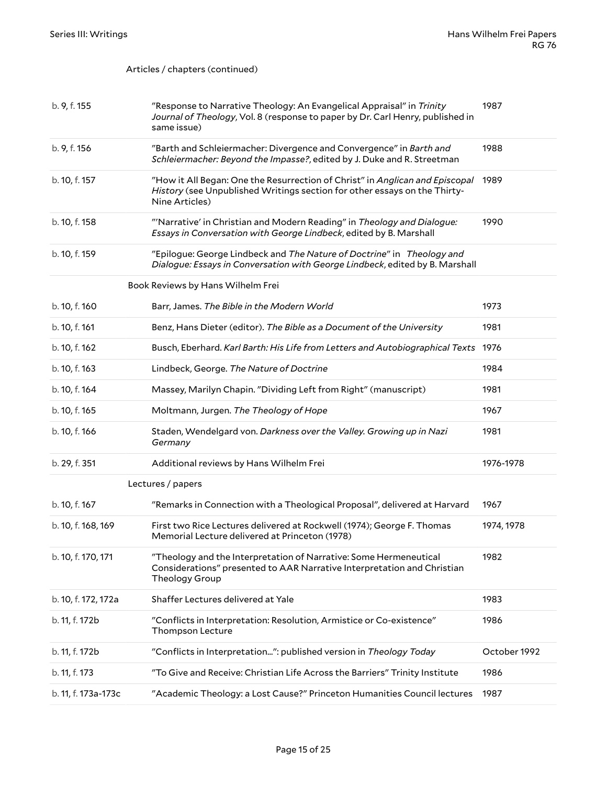#### Articles / chapters (continued)

<span id="page-14-1"></span><span id="page-14-0"></span>

| b. 9, f. 155        | "Response to Narrative Theology: An Evangelical Appraisal" in Trinity<br>Journal of Theology, Vol. 8 (response to paper by Dr. Carl Henry, published in<br>same issue)      | 1987         |
|---------------------|-----------------------------------------------------------------------------------------------------------------------------------------------------------------------------|--------------|
| b. 9, f. 156        | "Barth and Schleiermacher: Divergence and Convergence" in Barth and<br>Schleiermacher: Beyond the Impasse?, edited by J. Duke and R. Streetman                              | 1988         |
| b. 10, f. 157       | "How it All Began: One the Resurrection of Christ" in Anglican and Episcopal<br>History (see Unpublished Writings section for other essays on the Thirty-<br>Nine Articles) | 1989         |
| b. 10, f. 158       | "Narrative' in Christian and Modern Reading" in Theology and Dialogue:<br>Essays in Conversation with George Lindbeck, edited by B. Marshall                                | 1990         |
| b. 10, f. 159       | "Epilogue: George Lindbeck and The Nature of Doctrine" in Theology and<br>Dialogue: Essays in Conversation with George Lindbeck, edited by B. Marshall                      |              |
|                     | Book Reviews by Hans Wilhelm Frei                                                                                                                                           |              |
| b. 10, f. 160       | Barr, James. The Bible in the Modern World                                                                                                                                  | 1973         |
| b. 10, f. 161       | Benz, Hans Dieter (editor). The Bible as a Document of the University                                                                                                       | 1981         |
| b. 10, f. 162       | Busch, Eberhard. Karl Barth: His Life from Letters and Autobiographical Texts 1976                                                                                          |              |
| b. 10, f. 163       | Lindbeck, George. The Nature of Doctrine                                                                                                                                    | 1984         |
| b. 10, f. 164       | Massey, Marilyn Chapin. "Dividing Left from Right" (manuscript)                                                                                                             | 1981         |
| b. 10, f. 165       | Moltmann, Jurgen. The Theology of Hope                                                                                                                                      | 1967         |
| b. 10, f. 166       | Staden, Wendelgard von. Darkness over the Valley. Growing up in Nazi<br>Germany                                                                                             | 1981         |
| b. 29, f. 351       | Additional reviews by Hans Wilhelm Frei                                                                                                                                     | 1976-1978    |
|                     | Lectures / papers                                                                                                                                                           |              |
| b. 10, f. 167       | "Remarks in Connection with a Theological Proposal", delivered at Harvard                                                                                                   | 1967         |
| b. 10, f. 168, 169  | First two Rice Lectures delivered at Rockwell (1974); George F. Thomas<br>Memorial Lecture delivered at Princeton (1978)                                                    | 1974, 1978   |
| b. 10, f. 170, 171  | "Theology and the Interpretation of Narrative: Some Hermeneutical<br>Considerations" presented to AAR Narrative Interpretation and Christian<br>Theology Group              | 1982         |
| b. 10, f. 172, 172a | Shaffer Lectures delivered at Yale                                                                                                                                          | 1983         |
| b. 11, f. 172b      | "Conflicts in Interpretation: Resolution, Armistice or Co-existence"<br>Thompson Lecture                                                                                    | 1986         |
| b. 11, f. 172b      | "Conflicts in Interpretation": published version in Theology Today                                                                                                          | October 1992 |
| b. 11, f. 173       | "To Give and Receive: Christian Life Across the Barriers" Trinity Institute                                                                                                 | 1986         |
| b. 11, f. 173a-173c | "Academic Theology: a Lost Cause?" Princeton Humanities Council lectures                                                                                                    | 1987         |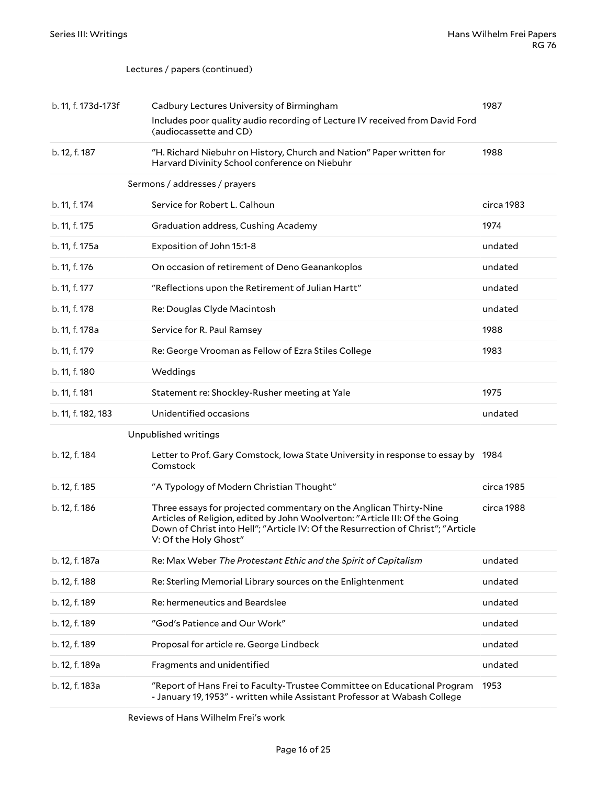#### Lectures / papers (continued)

<span id="page-15-0"></span>

| b. 11, f. 173d-173f | Cadbury Lectures University of Birmingham                                                                                                                                                                                                                                   | 1987       |
|---------------------|-----------------------------------------------------------------------------------------------------------------------------------------------------------------------------------------------------------------------------------------------------------------------------|------------|
|                     | Includes poor quality audio recording of Lecture IV received from David Ford<br>(audiocassette and CD)                                                                                                                                                                      |            |
| b. 12, f. 187       | "H. Richard Niebuhr on History, Church and Nation" Paper written for<br>Harvard Divinity School conference on Niebuhr                                                                                                                                                       | 1988       |
|                     | Sermons / addresses / prayers                                                                                                                                                                                                                                               |            |
| b. 11, f. 174       | Service for Robert L. Calhoun                                                                                                                                                                                                                                               | circa 1983 |
| b. 11, f. 175       | Graduation address, Cushing Academy                                                                                                                                                                                                                                         | 1974       |
| b. 11, f. 175a      | Exposition of John 15:1-8                                                                                                                                                                                                                                                   | undated    |
| b. 11, f. 176       | On occasion of retirement of Deno Geanankoplos                                                                                                                                                                                                                              | undated    |
| b. 11, f. 177       | "Reflections upon the Retirement of Julian Hartt"                                                                                                                                                                                                                           | undated    |
| b. 11, f. 178       | Re: Douglas Clyde Macintosh                                                                                                                                                                                                                                                 | undated    |
| b. 11, f. 178a      | Service for R. Paul Ramsey                                                                                                                                                                                                                                                  | 1988       |
| b. 11, f. 179       | Re: George Vrooman as Fellow of Ezra Stiles College<br>1983                                                                                                                                                                                                                 |            |
| b. 11, f. 180       | Weddings                                                                                                                                                                                                                                                                    |            |
| b. 11, f. 181       | Statement re: Shockley-Rusher meeting at Yale                                                                                                                                                                                                                               | 1975       |
| b. 11, f. 182, 183  | Unidentified occasions                                                                                                                                                                                                                                                      | undated    |
|                     | Unpublished writings                                                                                                                                                                                                                                                        |            |
| b. 12, f. 184       | Letter to Prof. Gary Comstock, Iowa State University in response to essay by 1984<br>Comstock                                                                                                                                                                               |            |
| b. 12, f. 185       | "A Typology of Modern Christian Thought"                                                                                                                                                                                                                                    | circa 1985 |
| b. 12, f. 186       | Three essays for projected commentary on the Anglican Thirty-Nine<br>circa 1988<br>Articles of Religion, edited by John Woolverton: "Article III: Of the Going<br>Down of Christ into Hell"; "Article IV: Of the Resurrection of Christ"; "Article<br>V: Of the Holy Ghost" |            |
| b. 12, f. 187a      | Re: Max Weber The Protestant Ethic and the Spirit of Capitalism                                                                                                                                                                                                             | undated    |
| b. 12, f. 188       | Re: Sterling Memorial Library sources on the Enlightenment                                                                                                                                                                                                                  | undated    |
| b. 12, f. 189       | Re: hermeneutics and Beardslee                                                                                                                                                                                                                                              | undated    |
| b. 12, f. 189       | "God's Patience and Our Work"                                                                                                                                                                                                                                               | undated    |
| b. 12, f. 189       | Proposal for article re. George Lindbeck                                                                                                                                                                                                                                    | undated    |
| b. 12, f. 189a      | Fragments and unidentified                                                                                                                                                                                                                                                  | undated    |
| b. 12, f. 183a      | "Report of Hans Frei to Faculty-Trustee Committee on Educational Program<br>- January 19, 1953" - written while Assistant Professor at Wabash College                                                                                                                       | 1953       |

<span id="page-15-2"></span><span id="page-15-1"></span>Reviews of Hans Wilhelm Frei's work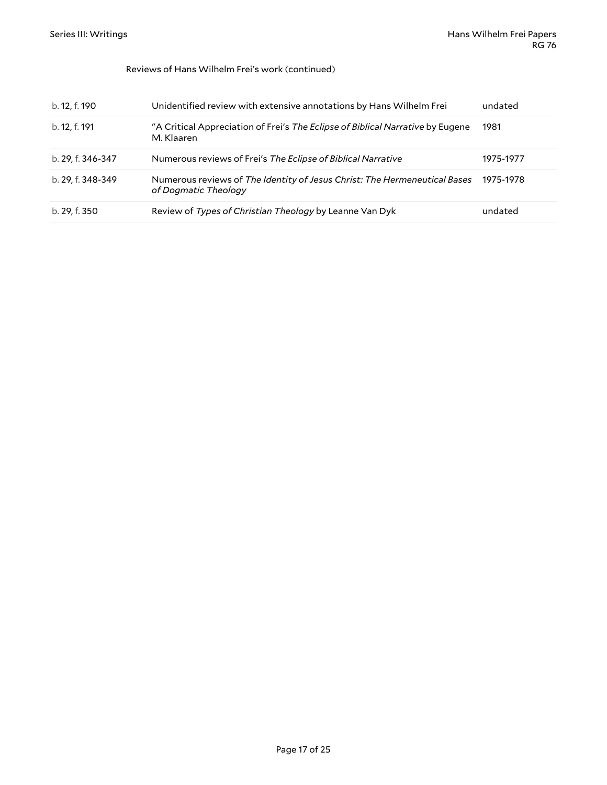#### Reviews of Hans Wilhelm Frei's work (continued)

| b. 12, f. 190     | Unidentified review with extensive annotations by Hans Wilhelm Frei                               | undated   |
|-------------------|---------------------------------------------------------------------------------------------------|-----------|
| b. 12, f. 191     | "A Critical Appreciation of Frei's The Eclipse of Biblical Narrative by Eugene<br>M. Klaaren      | 1981      |
| b. 29, f. 346-347 | Numerous reviews of Frei's The Eclipse of Biblical Narrative                                      | 1975-1977 |
| b. 29, f. 348-349 | Numerous reviews of The Identity of Jesus Christ: The Hermeneutical Bases<br>of Dogmatic Theology | 1975-1978 |
| b. 29, f. 350     | Review of Types of Christian Theology by Leanne Van Dyk                                           | undated   |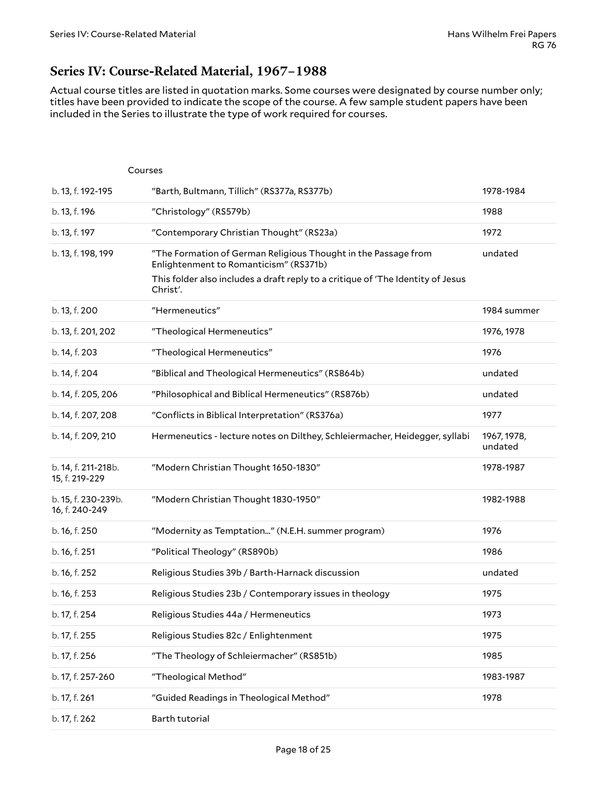### <span id="page-17-0"></span>**Series IV: Course-Related Material, 1967–1988**

Actual course titles are listed in quotation marks. Some courses were designated by course number only; titles have been provided to indicate the scope of the course. A few sample student papers have been included in the Series to illustrate the type of work required for courses.

<span id="page-17-1"></span>

|                                       | Courses                                                                                                                                                                                                 |                        |
|---------------------------------------|---------------------------------------------------------------------------------------------------------------------------------------------------------------------------------------------------------|------------------------|
| b. 13, f. 192-195                     | "Barth, Bultmann, Tillich" (RS377a, RS377b)                                                                                                                                                             | 1978-1984              |
| b. 13, f. 196                         | "Christology" (RS579b)                                                                                                                                                                                  | 1988                   |
| b. 13, f. 197                         | "Contemporary Christian Thought" (RS23a)                                                                                                                                                                | 1972                   |
| b. 13, f. 198, 199                    | "The Formation of German Religious Thought in the Passage from<br>Enlightenment to Romanticism" (RS371b)<br>This folder also includes a draft reply to a critique of 'The Identity of Jesus<br>Christ'. | undated                |
| b. 13, f. 200                         | "Hermeneutics"                                                                                                                                                                                          | 1984 summer            |
| b. 13, f. 201, 202                    | "Theological Hermeneutics"                                                                                                                                                                              | 1976, 1978             |
| b. 14, f. 203                         | "Theological Hermeneutics"                                                                                                                                                                              | 1976                   |
| b. 14, f. 204                         | "Biblical and Theological Hermeneutics" (RS864b)                                                                                                                                                        | undated                |
| b. 14, f. 205, 206                    | "Philosophical and Biblical Hermeneutics" (RS876b)                                                                                                                                                      | undated                |
| b. 14, f. 207, 208                    | "Conflicts in Biblical Interpretation" (RS376a)                                                                                                                                                         | 1977                   |
| b. 14, f. 209, 210                    | Hermeneutics - lecture notes on Dilthey, Schleiermacher, Heidegger, syllabi                                                                                                                             | 1967, 1978,<br>undated |
| b. 14, f. 211-218b.<br>15, f. 219-229 | "Modern Christian Thought 1650-1830"                                                                                                                                                                    | 1978-1987              |
| b. 15, f. 230-239b.<br>16, f. 240-249 | "Modern Christian Thought 1830-1950"                                                                                                                                                                    | 1982-1988              |
| b. 16, f. 250                         | "Modernity as Temptation" (N.E.H. summer program)                                                                                                                                                       | 1976                   |
| b. 16, f. 251                         | "Political Theology" (RS890b)                                                                                                                                                                           | 1986                   |
| b. 16, f. 252                         | Religious Studies 39b / Barth-Harnack discussion                                                                                                                                                        | undated                |
| b. 16, f. 253                         | Religious Studies 23b / Contemporary issues in theology                                                                                                                                                 | 1975                   |
| b. 17, f. 254                         | Religious Studies 44a / Hermeneutics                                                                                                                                                                    | 1973                   |
| b. 17, f. 255                         | Religious Studies 82c / Enlightenment                                                                                                                                                                   | 1975                   |
| b. 17, f. 256                         | "The Theology of Schleiermacher" (RS851b)                                                                                                                                                               | 1985                   |
| b. 17, f. 257-260                     | "Theological Method"                                                                                                                                                                                    | 1983-1987              |
| b. 17, f. 261                         | "Guided Readings in Theological Method"                                                                                                                                                                 | 1978                   |
| b. 17, f. 262                         | Barth tutorial                                                                                                                                                                                          |                        |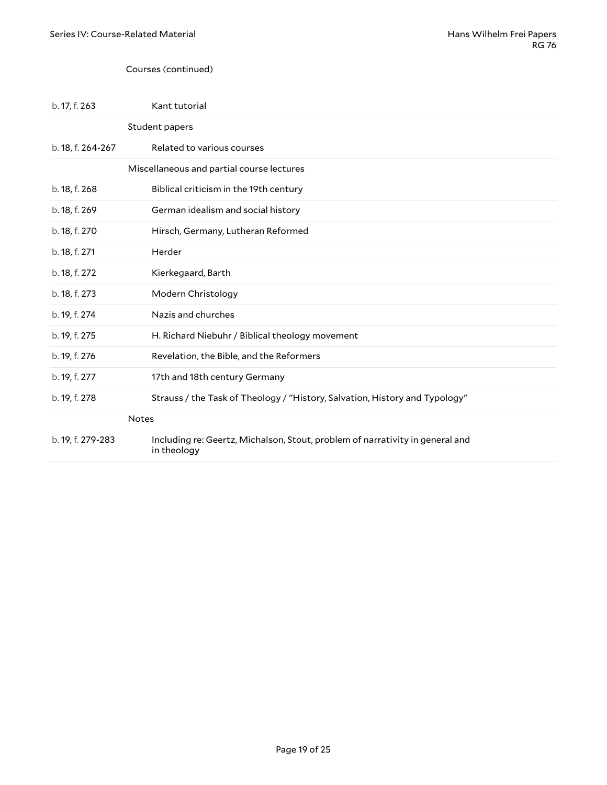#### <span id="page-18-1"></span><span id="page-18-0"></span>Courses (continued)

<span id="page-18-2"></span>

| b. 17, f. 263     | Kant tutorial                                                                                |  |  |
|-------------------|----------------------------------------------------------------------------------------------|--|--|
|                   | Student papers                                                                               |  |  |
| b. 18, f. 264-267 | Related to various courses                                                                   |  |  |
|                   | Miscellaneous and partial course lectures                                                    |  |  |
| b. 18, f. 268     | Biblical criticism in the 19th century                                                       |  |  |
| b. 18, f. 269     | German idealism and social history                                                           |  |  |
| b. 18, f. 270     | Hirsch, Germany, Lutheran Reformed                                                           |  |  |
| b. 18, f. 271     | Herder                                                                                       |  |  |
| b. 18, f. 272     | Kierkegaard, Barth                                                                           |  |  |
| b. 18, f. 273     | Modern Christology                                                                           |  |  |
| b. 19, f. 274     | Nazis and churches                                                                           |  |  |
| b. 19, f. 275     | H. Richard Niebuhr / Biblical theology movement                                              |  |  |
| b. 19, f. 276     | Revelation, the Bible, and the Reformers                                                     |  |  |
| b. 19, f. 277     | 17th and 18th century Germany                                                                |  |  |
| b. 19, f. 278     | Strauss / the Task of Theology / "History, Salvation, History and Typology"                  |  |  |
| <b>Notes</b>      |                                                                                              |  |  |
| b. 19, f. 279-283 | Including re: Geertz, Michalson, Stout, problem of narrativity in general and<br>in theology |  |  |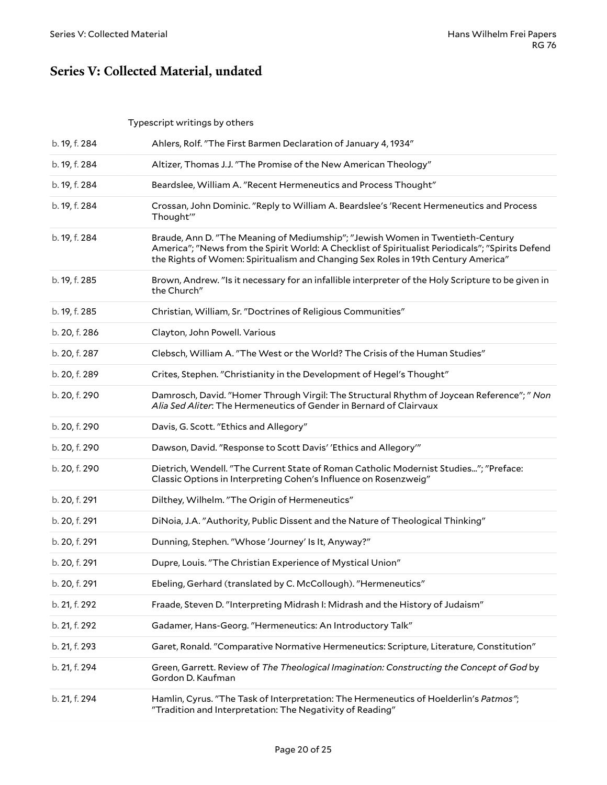## <span id="page-19-0"></span>**Series V: Collected Material, undated**

### <span id="page-19-1"></span>Typescript writings by others

| b. 19, f. 284 | Ahlers, Rolf. "The First Barmen Declaration of January 4, 1934"                                                                                                                                                                                                         |
|---------------|-------------------------------------------------------------------------------------------------------------------------------------------------------------------------------------------------------------------------------------------------------------------------|
| b. 19, f. 284 | Altizer, Thomas J.J. "The Promise of the New American Theology"                                                                                                                                                                                                         |
| b. 19, f. 284 | Beardslee, William A. "Recent Hermeneutics and Process Thought"                                                                                                                                                                                                         |
| b. 19, f. 284 | Crossan, John Dominic. "Reply to William A. Beardslee's 'Recent Hermeneutics and Process<br>Thought'"                                                                                                                                                                   |
| b. 19, f. 284 | Braude, Ann D. "The Meaning of Mediumship"; "Jewish Women in Twentieth-Century<br>America"; "News from the Spirit World: A Checklist of Spiritualist Periodicals"; "Spirits Defend<br>the Rights of Women: Spiritualism and Changing Sex Roles in 19th Century America" |
| b. 19, f. 285 | Brown, Andrew. "Is it necessary for an infallible interpreter of the Holy Scripture to be given in<br>the Church"                                                                                                                                                       |
| b. 19, f. 285 | Christian, William, Sr. "Doctrines of Religious Communities"                                                                                                                                                                                                            |
| b. 20, f. 286 | Clayton, John Powell. Various                                                                                                                                                                                                                                           |
| b. 20, f. 287 | Clebsch, William A. "The West or the World? The Crisis of the Human Studies"                                                                                                                                                                                            |
| b. 20, f. 289 | Crites, Stephen. "Christianity in the Development of Hegel's Thought"                                                                                                                                                                                                   |
| b. 20, f. 290 | Damrosch, David. "Homer Through Virgil: The Structural Rhythm of Joycean Reference"; " Non<br>Alia Sed Aliter: The Hermeneutics of Gender in Bernard of Clairvaux                                                                                                       |
| b. 20, f. 290 | Davis, G. Scott. "Ethics and Allegory"                                                                                                                                                                                                                                  |
| b. 20, f. 290 | Dawson, David. "Response to Scott Davis' 'Ethics and Allegory'"                                                                                                                                                                                                         |
| b. 20, f. 290 | Dietrich, Wendell. "The Current State of Roman Catholic Modernist Studies"; "Preface:<br>Classic Options in Interpreting Cohen's Influence on Rosenzweig"                                                                                                               |
| b. 20, f. 291 | Dilthey, Wilhelm. "The Origin of Hermeneutics"                                                                                                                                                                                                                          |
| b. 20, f. 291 | DiNoia, J.A. "Authority, Public Dissent and the Nature of Theological Thinking"                                                                                                                                                                                         |
| b. 20, f. 291 | Dunning, Stephen. "Whose 'Journey' Is It, Anyway?"                                                                                                                                                                                                                      |
| b. 20, f. 291 | Dupre, Louis. "The Christian Experience of Mystical Union"                                                                                                                                                                                                              |
| b. 20, f. 291 | Ebeling, Gerhard (translated by C. McCollough). "Hermeneutics"                                                                                                                                                                                                          |
| b. 21, f. 292 | Fraade, Steven D. "Interpreting Midrash I: Midrash and the History of Judaism"                                                                                                                                                                                          |
| b. 21, f. 292 | Gadamer, Hans-Georg. "Hermeneutics: An Introductory Talk"                                                                                                                                                                                                               |
| b. 21, f. 293 | Garet, Ronald. "Comparative Normative Hermeneutics: Scripture, Literature, Constitution"                                                                                                                                                                                |
| b. 21, f. 294 | Green, Garrett. Review of The Theological Imagination: Constructing the Concept of God by<br>Gordon D. Kaufman                                                                                                                                                          |
| b. 21, f. 294 | Hamlin, Cyrus. "The Task of Interpretation: The Hermeneutics of Hoelderlin's Patmos";<br>"Tradition and Interpretation: The Negativity of Reading"                                                                                                                      |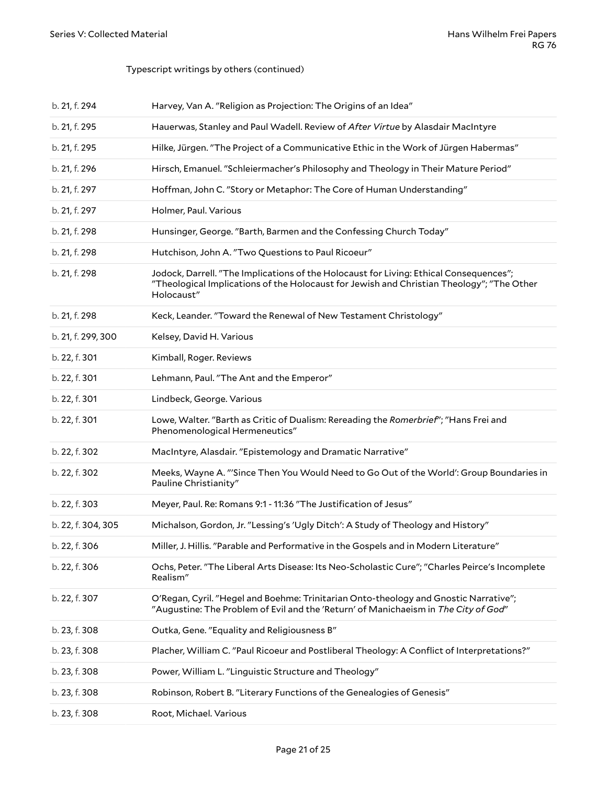### Typescript writings by others (continued)

| b. 21, f. 294      | Harvey, Van A. "Religion as Projection: The Origins of an Idea"                                                                                                                                   |
|--------------------|---------------------------------------------------------------------------------------------------------------------------------------------------------------------------------------------------|
| b. 21, f. 295      | Hauerwas, Stanley and Paul Wadell. Review of After Virtue by Alasdair MacIntyre                                                                                                                   |
| b. 21, f. 295      | Hilke, Jürgen. "The Project of a Communicative Ethic in the Work of Jürgen Habermas"                                                                                                              |
| b. 21, f. 296      | Hirsch, Emanuel. "Schleiermacher's Philosophy and Theology in Their Mature Period"                                                                                                                |
| b. 21, f. 297      | Hoffman, John C. "Story or Metaphor: The Core of Human Understanding"                                                                                                                             |
| b. 21, f. 297      | Holmer, Paul. Various                                                                                                                                                                             |
| b. 21, f. 298      | Hunsinger, George. "Barth, Barmen and the Confessing Church Today"                                                                                                                                |
| b. 21, f. 298      | Hutchison, John A. "Two Questions to Paul Ricoeur"                                                                                                                                                |
| b. 21, f. 298      | Jodock, Darrell. "The Implications of the Holocaust for Living: Ethical Consequences";<br>"Theological Implications of the Holocaust for Jewish and Christian Theology"; "The Other<br>Holocaust" |
| b. 21, f. 298      | Keck, Leander. "Toward the Renewal of New Testament Christology"                                                                                                                                  |
| b. 21, f. 299, 300 | Kelsey, David H. Various                                                                                                                                                                          |
| b. 22, f. 301      | Kimball, Roger. Reviews                                                                                                                                                                           |
| b. 22, f. 301      | Lehmann, Paul. "The Ant and the Emperor"                                                                                                                                                          |
| b. 22, f. 301      | Lindbeck, George. Various                                                                                                                                                                         |
| b. 22, f. 301      | Lowe, Walter. "Barth as Critic of Dualism: Rereading the Romerbrief"; "Hans Frei and<br>Phenomenological Hermeneutics"                                                                            |
| b. 22, f. 302      | MacIntyre, Alasdair. "Epistemology and Dramatic Narrative"                                                                                                                                        |
| b. 22, f. 302      | Meeks, Wayne A. "'Since Then You Would Need to Go Out of the World': Group Boundaries in<br>Pauline Christianity"                                                                                 |
| b. 22, f. 303      | Meyer, Paul. Re: Romans 9:1 - 11:36 "The Justification of Jesus"                                                                                                                                  |
| b. 22, f. 304, 305 | Michalson, Gordon, Jr. "Lessing's 'Ugly Ditch': A Study of Theology and History"                                                                                                                  |
| b. 22, f. 306      | Miller, J. Hillis. "Parable and Performative in the Gospels and in Modern Literature"                                                                                                             |
| b. 22, f. 306      | Ochs, Peter. "The Liberal Arts Disease: Its Neo-Scholastic Cure"; "Charles Peirce's Incomplete<br>Realism"                                                                                        |
| b. 22, f. 307      | O'Regan, Cyril. "Hegel and Boehme: Trinitarian Onto-theology and Gnostic Narrative";<br>"Augustine: The Problem of Evil and the 'Return' of Manichaeism in The City of God"                       |
| b. 23, f. 308      | Outka, Gene. "Equality and Religiousness B"                                                                                                                                                       |
| b. 23, f. 308      | Placher, William C. "Paul Ricoeur and Postliberal Theology: A Conflict of Interpretations?"                                                                                                       |
| b. 23, f. 308      | Power, William L. "Linguistic Structure and Theology"                                                                                                                                             |
| b. 23, f. 308      | Robinson, Robert B. "Literary Functions of the Genealogies of Genesis"                                                                                                                            |
| b. 23, f. 308      | Root, Michael. Various                                                                                                                                                                            |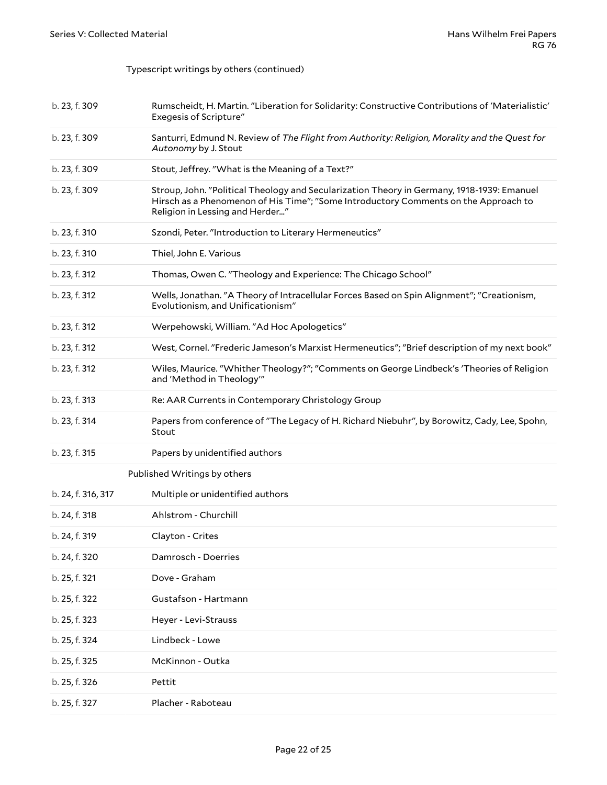Typescript writings by others (continued)

<span id="page-21-0"></span>

| b. 23, f. 309      | Rumscheidt, H. Martin. "Liberation for Solidarity: Constructive Contributions of 'Materialistic'<br><b>Exegesis of Scripture"</b>                                                                                    |
|--------------------|----------------------------------------------------------------------------------------------------------------------------------------------------------------------------------------------------------------------|
| b. 23, f. 309      | Santurri, Edmund N. Review of The Flight from Authority: Religion, Morality and the Quest for<br>Autonomy by J. Stout                                                                                                |
| b. 23, f. 309      | Stout, Jeffrey. "What is the Meaning of a Text?"                                                                                                                                                                     |
| b. 23, f. 309      | Stroup, John. "Political Theology and Secularization Theory in Germany, 1918-1939: Emanuel<br>Hirsch as a Phenomenon of His Time"; "Some Introductory Comments on the Approach to<br>Religion in Lessing and Herder" |
| b. 23, f. 310      | Szondi, Peter. "Introduction to Literary Hermeneutics"                                                                                                                                                               |
| b. 23, f. 310      | Thiel, John E. Various                                                                                                                                                                                               |
| b. 23, f. 312      | Thomas, Owen C. "Theology and Experience: The Chicago School"                                                                                                                                                        |
| b. 23, f. 312      | Wells, Jonathan. "A Theory of Intracellular Forces Based on Spin Alignment"; "Creationism,<br>Evolutionism, and Unificationism"                                                                                      |
| b. 23, f. 312      | Werpehowski, William. "Ad Hoc Apologetics"                                                                                                                                                                           |
| b. 23, f. 312      | West, Cornel. "Frederic Jameson's Marxist Hermeneutics"; "Brief description of my next book"                                                                                                                         |
| b. 23, f. 312      | Wiles, Maurice. "Whither Theology?"; "Comments on George Lindbeck's 'Theories of Religion<br>and 'Method in Theology'"                                                                                               |
| b. 23, f. 313      | Re: AAR Currents in Contemporary Christology Group                                                                                                                                                                   |
| b. 23, f. 314      | Papers from conference of "The Legacy of H. Richard Niebuhr", by Borowitz, Cady, Lee, Spohn,<br>Stout                                                                                                                |
| b. 23, f. 315      | Papers by unidentified authors                                                                                                                                                                                       |
|                    | Published Writings by others                                                                                                                                                                                         |
| b. 24, f. 316, 317 | Multiple or unidentified authors                                                                                                                                                                                     |
| b. 24, f. 318      | Ahlstrom - Churchill                                                                                                                                                                                                 |
| b. 24, f. 319      | Clayton - Crites                                                                                                                                                                                                     |
| b. 24, f. 320      | Damrosch - Doerries                                                                                                                                                                                                  |
| b. 25, f. 321      | Dove - Graham                                                                                                                                                                                                        |
| b. 25, f. 322      | Gustafson - Hartmann                                                                                                                                                                                                 |
| b. 25, f. 323      | Heyer - Levi-Strauss                                                                                                                                                                                                 |
| b. 25, f. 324      | Lindbeck - Lowe                                                                                                                                                                                                      |
| b. 25, f. 325      | McKinnon - Outka                                                                                                                                                                                                     |
| b. 25, f. 326      | Pettit                                                                                                                                                                                                               |
| b. 25, f. 327      | Placher - Raboteau                                                                                                                                                                                                   |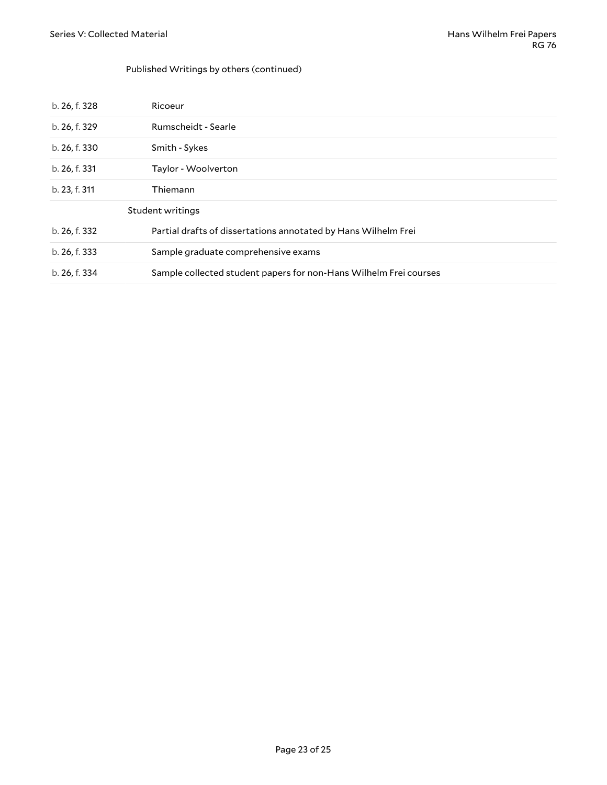#### Published Writings by others (continued)

<span id="page-22-0"></span>

| b. 26, f. 328    | Ricoeur                                                           |  |
|------------------|-------------------------------------------------------------------|--|
| b. 26, f. 329    | Rumscheidt - Searle                                               |  |
| b. 26, f. 330    | Smith - Sykes                                                     |  |
| b. 26, f. 331    | Taylor - Woolverton                                               |  |
| b. 23, f. 311    | Thiemann                                                          |  |
| Student writings |                                                                   |  |
| b. 26, f. 332    | Partial drafts of dissertations annotated by Hans Wilhelm Frei    |  |
| b. 26, f. 333    | Sample graduate comprehensive exams                               |  |
| b. 26, f. 334    | Sample collected student papers for non-Hans Wilhelm Frei courses |  |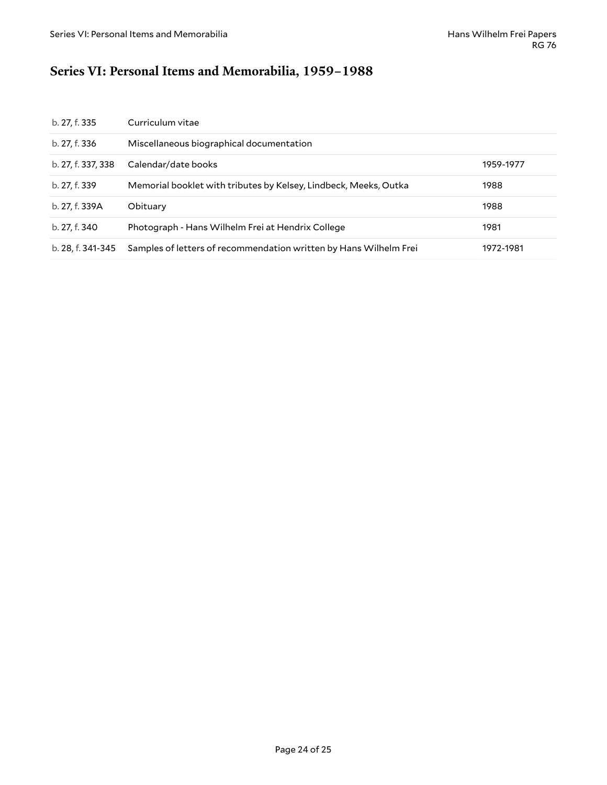## <span id="page-23-0"></span>**Series VI: Personal Items and Memorabilia, 1959–1988**

| b. 27, f. 335      | Curriculum vitae                                                  |           |
|--------------------|-------------------------------------------------------------------|-----------|
| b. 27, f. 336      | Miscellaneous biographical documentation                          |           |
| b. 27, f. 337, 338 | Calendar/date books                                               | 1959-1977 |
| b. 27, f. 339      | Memorial booklet with tributes by Kelsey, Lindbeck, Meeks, Outka  | 1988      |
| b. 27, f. 339A     | Obituary                                                          | 1988      |
| b. 27, f. 340      | Photograph - Hans Wilhelm Frei at Hendrix College                 | 1981      |
| b. 28, f. 341-345  | Samples of letters of recommendation written by Hans Wilhelm Frei | 1972-1981 |